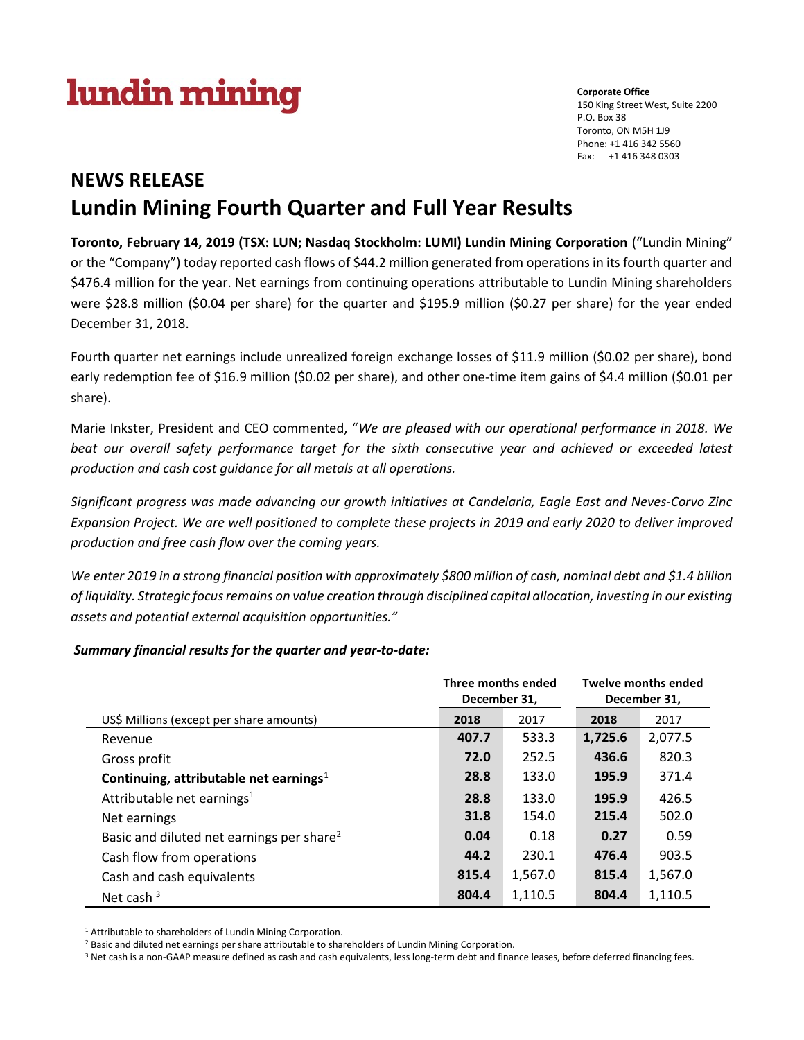# lundin mining

Corporate Office 150 King Street West, Suite 2200 P.O. Box 38 Toronto, ON M5H 1J9 Phone: +1 416 342 5560 Fax: +1 416 348 0303

## NEWS RELEASE Lundin Mining Fourth Quarter and Full Year Results

Toronto, February 14, 2019 (TSX: LUN; Nasdaq Stockholm: LUMI) Lundin Mining Corporation ("Lundin Mining" or the "Company") today reported cash flows of \$44.2 million generated from operations in its fourth quarter and \$476.4 million for the year. Net earnings from continuing operations attributable to Lundin Mining shareholders were \$28.8 million (\$0.04 per share) for the quarter and \$195.9 million (\$0.27 per share) for the year ended December 31, 2018.

Fourth quarter net earnings include unrealized foreign exchange losses of \$11.9 million (\$0.02 per share), bond early redemption fee of \$16.9 million (\$0.02 per share), and other one-time item gains of \$4.4 million (\$0.01 per share).

Marie Inkster, President and CEO commented, "We are pleased with our operational performance in 2018. We beat our overall safety performance target for the sixth consecutive year and achieved or exceeded latest production and cash cost guidance for all metals at all operations.

Significant progress was made advancing our growth initiatives at Candelaria, Eagle East and Neves-Corvo Zinc Expansion Project. We are well positioned to complete these projects in 2019 and early 2020 to deliver improved production and free cash flow over the coming years.

We enter 2019 in a strong financial position with approximately \$800 million of cash, nominal debt and \$1.4 billion of liquidity. Strategic focus remains on value creation through disciplined capital allocation, investing in our existing assets and potential external acquisition opportunities."

Summary financial results for the quarter and year-to-date:

|                                                       | Three months ended<br>December 31, |         | <b>Twelve months ended</b><br>December 31, |         |
|-------------------------------------------------------|------------------------------------|---------|--------------------------------------------|---------|
| US\$ Millions (except per share amounts)              | 2018                               | 2017    | 2018                                       | 2017    |
| Revenue                                               | 407.7                              | 533.3   | 1,725.6                                    | 2,077.5 |
| Gross profit                                          | 72.0                               | 252.5   | 436.6                                      | 820.3   |
| Continuing, attributable net earnings <sup>1</sup>    | 28.8                               | 133.0   | 195.9                                      | 371.4   |
| Attributable net earnings <sup>1</sup>                | 28.8                               | 133.0   | 195.9                                      | 426.5   |
| Net earnings                                          | 31.8                               | 154.0   | 215.4                                      | 502.0   |
| Basic and diluted net earnings per share <sup>2</sup> | 0.04                               | 0.18    | 0.27                                       | 0.59    |
| Cash flow from operations                             | 44.2                               | 230.1   | 476.4                                      | 903.5   |
| Cash and cash equivalents                             | 815.4                              | 1,567.0 | 815.4                                      | 1,567.0 |
| Net cash $3$                                          | 804.4                              | 1,110.5 | 804.4                                      | 1,110.5 |

<sup>1</sup> Attributable to shareholders of Lundin Mining Corporation.

<sup>2</sup> Basic and diluted net earnings per share attributable to shareholders of Lundin Mining Corporation.

<sup>3</sup> Net cash is a non-GAAP measure defined as cash and cash equivalents, less long-term debt and finance leases, before deferred financing fees.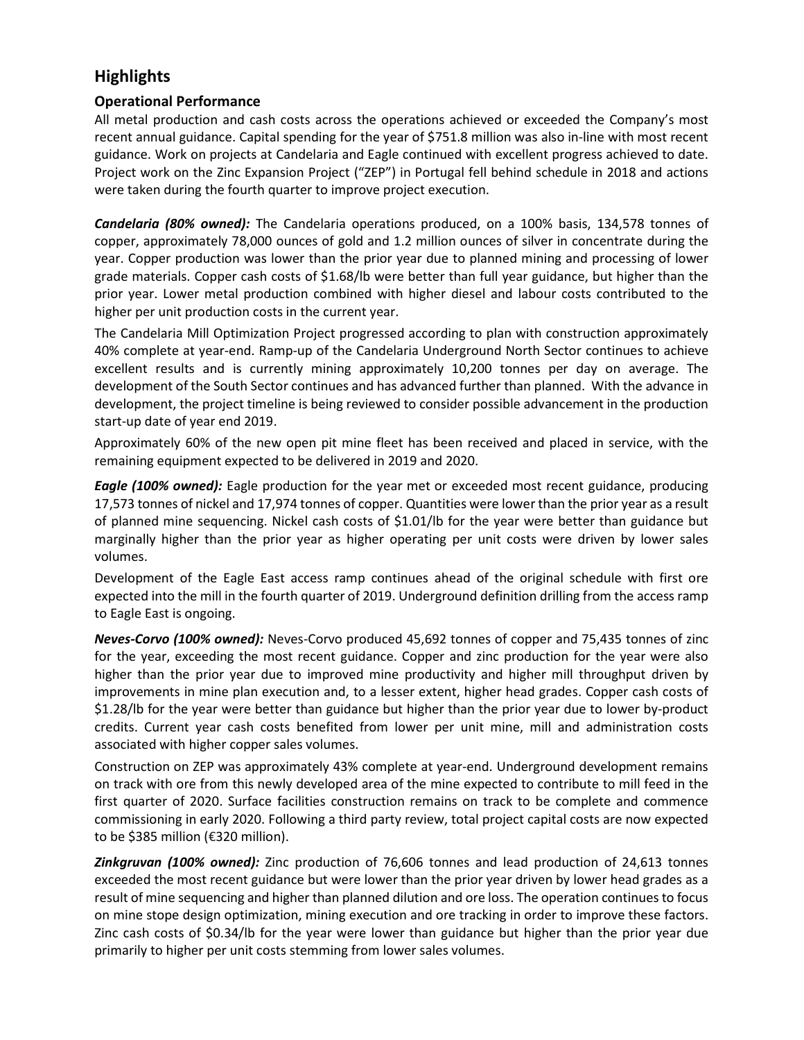## **Highlights**

## Operational Performance

All metal production and cash costs across the operations achieved or exceeded the Company's most recent annual guidance. Capital spending for the year of \$751.8 million was also in-line with most recent guidance. Work on projects at Candelaria and Eagle continued with excellent progress achieved to date. Project work on the Zinc Expansion Project ("ZEP") in Portugal fell behind schedule in 2018 and actions were taken during the fourth quarter to improve project execution.

Candelaria (80% owned): The Candelaria operations produced, on a 100% basis, 134,578 tonnes of copper, approximately 78,000 ounces of gold and 1.2 million ounces of silver in concentrate during the year. Copper production was lower than the prior year due to planned mining and processing of lower grade materials. Copper cash costs of \$1.68/lb were better than full year guidance, but higher than the prior year. Lower metal production combined with higher diesel and labour costs contributed to the higher per unit production costs in the current year.

The Candelaria Mill Optimization Project progressed according to plan with construction approximately 40% complete at year-end. Ramp-up of the Candelaria Underground North Sector continues to achieve excellent results and is currently mining approximately 10,200 tonnes per day on average. The development of the South Sector continues and has advanced further than planned. With the advance in development, the project timeline is being reviewed to consider possible advancement in the production start-up date of year end 2019.

Approximately 60% of the new open pit mine fleet has been received and placed in service, with the remaining equipment expected to be delivered in 2019 and 2020.

**Eagle (100% owned):** Eagle production for the year met or exceeded most recent guidance, producing 17,573 tonnes of nickel and 17,974 tonnes of copper. Quantities were lower than the prior year as a result of planned mine sequencing. Nickel cash costs of \$1.01/lb for the year were better than guidance but marginally higher than the prior year as higher operating per unit costs were driven by lower sales volumes.

Development of the Eagle East access ramp continues ahead of the original schedule with first ore expected into the mill in the fourth quarter of 2019. Underground definition drilling from the access ramp to Eagle East is ongoing.

Neves-Corvo (100% owned): Neves-Corvo produced 45,692 tonnes of copper and 75,435 tonnes of zinc for the year, exceeding the most recent guidance. Copper and zinc production for the year were also higher than the prior year due to improved mine productivity and higher mill throughput driven by improvements in mine plan execution and, to a lesser extent, higher head grades. Copper cash costs of \$1.28/lb for the year were better than guidance but higher than the prior year due to lower by-product credits. Current year cash costs benefited from lower per unit mine, mill and administration costs associated with higher copper sales volumes.

Construction on ZEP was approximately 43% complete at year-end. Underground development remains on track with ore from this newly developed area of the mine expected to contribute to mill feed in the first quarter of 2020. Surface facilities construction remains on track to be complete and commence commissioning in early 2020. Following a third party review, total project capital costs are now expected to be \$385 million (€320 million).

**Zinkgruvan (100% owned):** Zinc production of 76,606 tonnes and lead production of 24,613 tonnes exceeded the most recent guidance but were lower than the prior year driven by lower head grades as a result of mine sequencing and higher than planned dilution and ore loss. The operation continues to focus on mine stope design optimization, mining execution and ore tracking in order to improve these factors. Zinc cash costs of \$0.34/lb for the year were lower than guidance but higher than the prior year due primarily to higher per unit costs stemming from lower sales volumes.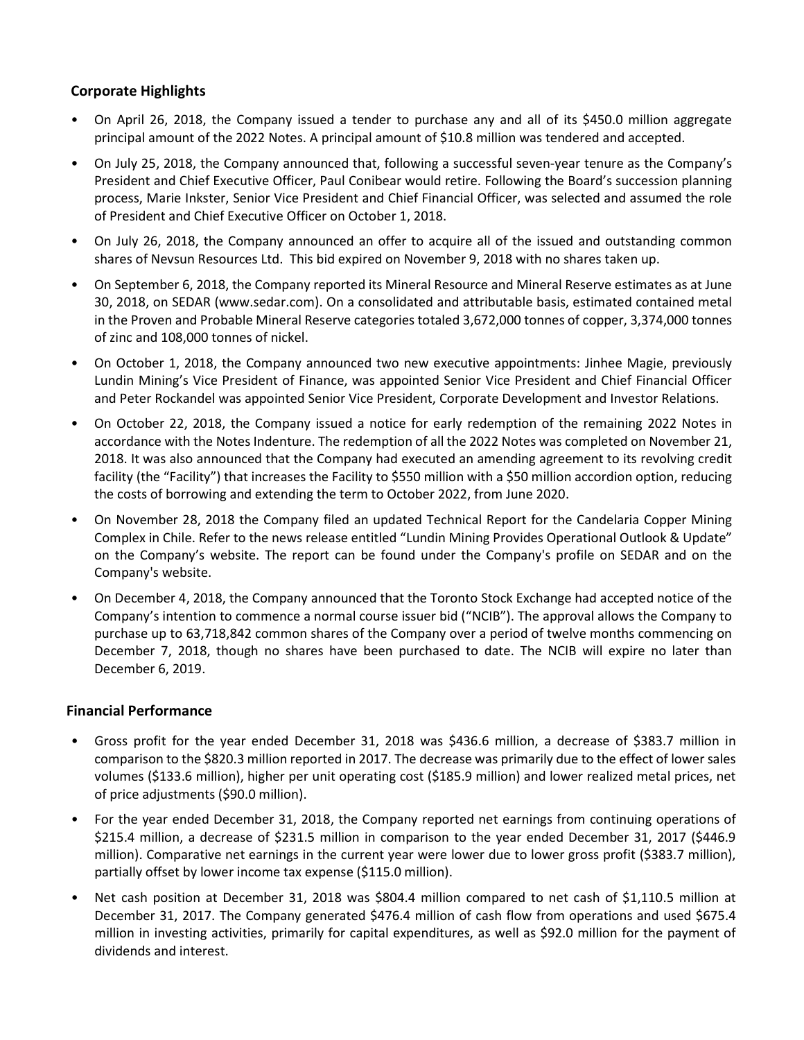## Corporate Highlights

- On April 26, 2018, the Company issued a tender to purchase any and all of its \$450.0 million aggregate principal amount of the 2022 Notes. A principal amount of \$10.8 million was tendered and accepted.
- On July 25, 2018, the Company announced that, following a successful seven-year tenure as the Company's President and Chief Executive Officer, Paul Conibear would retire. Following the Board's succession planning process, Marie Inkster, Senior Vice President and Chief Financial Officer, was selected and assumed the role of President and Chief Executive Officer on October 1, 2018.
- On July 26, 2018, the Company announced an offer to acquire all of the issued and outstanding common shares of Nevsun Resources Ltd. This bid expired on November 9, 2018 with no shares taken up.
- On September 6, 2018, the Company reported its Mineral Resource and Mineral Reserve estimates as at June 30, 2018, on SEDAR (www.sedar.com). On a consolidated and attributable basis, estimated contained metal in the Proven and Probable Mineral Reserve categories totaled 3,672,000 tonnes of copper, 3,374,000 tonnes of zinc and 108,000 tonnes of nickel.
- On October 1, 2018, the Company announced two new executive appointments: Jinhee Magie, previously Lundin Mining's Vice President of Finance, was appointed Senior Vice President and Chief Financial Officer and Peter Rockandel was appointed Senior Vice President, Corporate Development and Investor Relations.
- On October 22, 2018, the Company issued a notice for early redemption of the remaining 2022 Notes in accordance with the Notes Indenture. The redemption of all the 2022 Notes was completed on November 21, 2018. It was also announced that the Company had executed an amending agreement to its revolving credit facility (the "Facility") that increases the Facility to \$550 million with a \$50 million accordion option, reducing the costs of borrowing and extending the term to October 2022, from June 2020.
- On November 28, 2018 the Company filed an updated Technical Report for the Candelaria Copper Mining Complex in Chile. Refer to the news release entitled "Lundin Mining Provides Operational Outlook & Update" on the Company's website. The report can be found under the Company's profile on SEDAR and on the Company's website.
- On December 4, 2018, the Company announced that the Toronto Stock Exchange had accepted notice of the Company's intention to commence a normal course issuer bid ("NCIB"). The approval allows the Company to purchase up to 63,718,842 common shares of the Company over a period of twelve months commencing on December 7, 2018, though no shares have been purchased to date. The NCIB will expire no later than December 6, 2019.

#### Financial Performance

- Gross profit for the year ended December 31, 2018 was \$436.6 million, a decrease of \$383.7 million in comparison to the \$820.3 million reported in 2017. The decrease was primarily due to the effect of lower sales volumes (\$133.6 million), higher per unit operating cost (\$185.9 million) and lower realized metal prices, net of price adjustments (\$90.0 million).
- For the year ended December 31, 2018, the Company reported net earnings from continuing operations of \$215.4 million, a decrease of \$231.5 million in comparison to the year ended December 31, 2017 (\$446.9 million). Comparative net earnings in the current year were lower due to lower gross profit (\$383.7 million), partially offset by lower income tax expense (\$115.0 million).
- Net cash position at December 31, 2018 was \$804.4 million compared to net cash of \$1,110.5 million at December 31, 2017. The Company generated \$476.4 million of cash flow from operations and used \$675.4 million in investing activities, primarily for capital expenditures, as well as \$92.0 million for the payment of dividends and interest.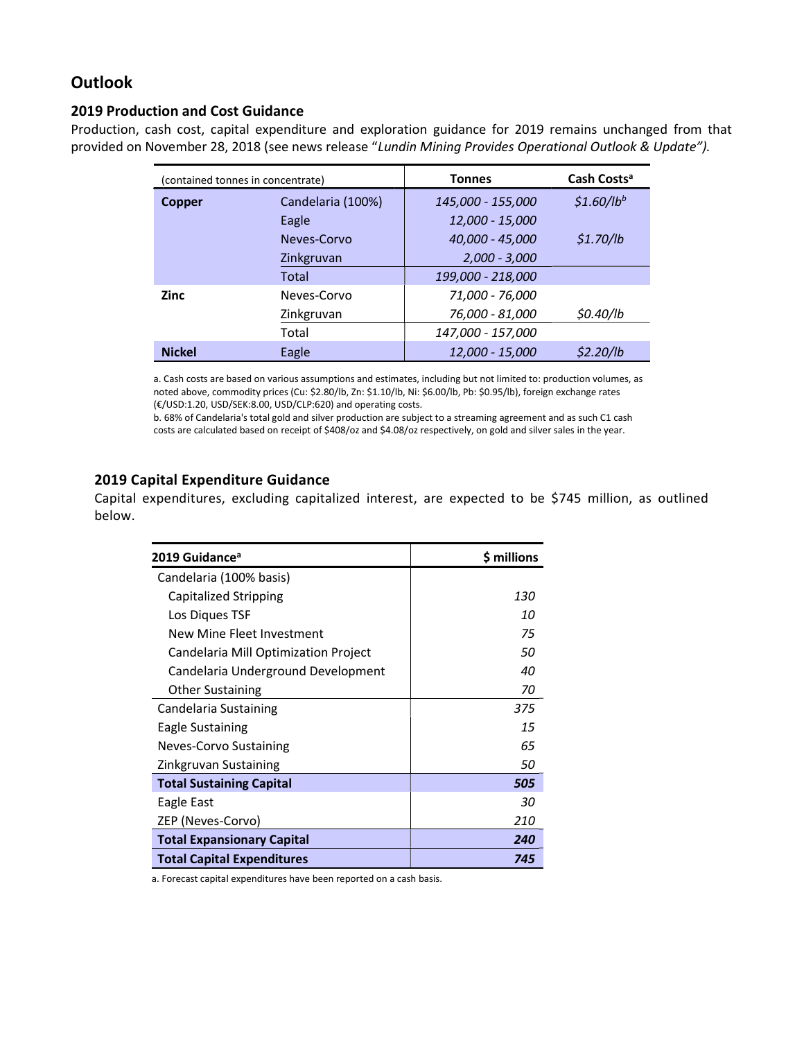## **Outlook**

#### 2019 Production and Cost Guidance

Production, cash cost, capital expenditure and exploration guidance for 2019 remains unchanged from that provided on November 28, 2018 (see news release "Lundin Mining Provides Operational Outlook & Update").

| (contained tonnes in concentrate) |                   | <b>Tonnes</b>     | Cash Costs <sup>a</sup> |
|-----------------------------------|-------------------|-------------------|-------------------------|
| Copper                            | Candelaria (100%) | 145,000 - 155,000 | $$1.60/lb^{b}$          |
|                                   | Eagle             | 12,000 - 15,000   |                         |
|                                   | Neves-Corvo       | 40,000 - 45,000   | \$1.70/h                |
|                                   | Zinkgruvan        | $2,000 - 3,000$   |                         |
|                                   | Total             | 199,000 - 218,000 |                         |
| <b>Zinc</b>                       | Neves-Corvo       | 71,000 - 76,000   |                         |
|                                   | Zinkgruvan        | 76,000 - 81,000   | \$0.40/lb               |
|                                   | Total             | 147,000 - 157,000 |                         |
| <b>Nickel</b>                     | Eagle             | 12.000 - 15.000   | \$2.20/lb               |

a. Cash costs are based on various assumptions and estimates, including but not limited to: production volumes, as noted above, commodity prices (Cu: \$2.80/lb, Zn: \$1.10/lb, Ni: \$6.00/lb, Pb: \$0.95/lb), foreign exchange rates (€/USD:1.20, USD/SEK:8.00, USD/CLP:620) and operating costs.

b. 68% of Candelaria's total gold and silver production are subject to a streaming agreement and as such C1 cash costs are calculated based on receipt of \$408/oz and \$4.08/oz respectively, on gold and silver sales in the year.

#### 2019 Capital Expenditure Guidance

Capital expenditures, excluding capitalized interest, are expected to be \$745 million, as outlined below.

| 2019 Guidance <sup>a</sup>           | \$ millions |
|--------------------------------------|-------------|
| Candelaria (100% basis)              |             |
| Capitalized Stripping                | 130         |
| Los Diques TSF                       | 10          |
| New Mine Fleet Investment            | 75          |
| Candelaria Mill Optimization Project | 50          |
| Candelaria Underground Development   | 40          |
| <b>Other Sustaining</b>              | 70          |
| Candelaria Sustaining                | 375         |
| Eagle Sustaining                     | 15          |
| Neves-Corvo Sustaining               | 65          |
| Zinkgruvan Sustaining                | 50          |
| <b>Total Sustaining Capital</b>      | 505         |
| Eagle East                           | 30          |
| ZEP (Neves-Corvo)                    | 210         |
| <b>Total Expansionary Capital</b>    | 240         |
| <b>Total Capital Expenditures</b>    | 745         |

a. Forecast capital expenditures have been reported on a cash basis.